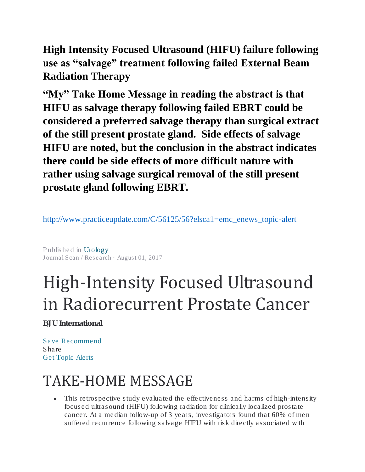**High Intensity Focused Ultrasound (HIFU) failure following use as "salvage" treatment following failed External Beam Radiation Therapy**

**"My" Take Home Message in reading the abstract is that HIFU as salvage therapy following failed EBRT could be considered a preferred salvage therapy than surgical extract of the still present prostate gland. Side effects of salvage HIFU are noted, but the conclusion in the abstract indicates there could be side effects of more difficult nature with rather using salvage surgical removal of the still present prostate gland following EBRT.** 

[http://www.practiceupdate.com/C/56125/56?elsca1=emc\\_enews\\_topic-alert](http://www.practiceupdate.com/C/56125/56?elsca1=emc_enews_topic-alert)

Published in [Urology](http://www.practiceupdate.com/explore/channel/urology/sp3) Journal Scan / Research · August 01, 2017

# High-Intensity Focused Ultrasound in Radiorecurrent Prostate Cancer

BJU International

[Save](javascript:SiteUserBookmark();) [Recommend](javascript:SiteUserBookmark();) Share Get Topic [Alerts](http://www.practiceupdate.com/C/56125/56?elsca1=emc_enews_topic-alert#topicAlerts)

# TAKE-HOME MESSAGE

• This retrospective study evaluated the effectiveness and harms of high-intensity focused ultrasound (HIFU) following radiation for clinically localized prostate cancer. At a median follow-up of 3 years, investigators found that 60% of men suffered recurrence following salvage HIFU with risk directly associated with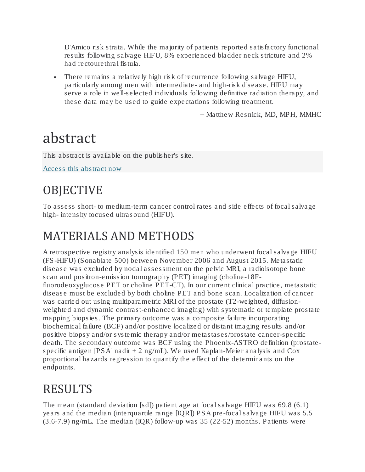D'Amico risk strata. While the majority of patients reported satisfactory functional results following salvage HIFU, 8% experienced bladder neck stricture and 2% had rectourethral fistula.

• There remains a relatively high risk of recurrence following salvage HIFU, particularly among men with intermediate- and high-risk disease. HIFU may serve a role in well-selected individuals following definitive radiation therapy, and these data may be used to guide expectations following treatment.

– Matthew Resnick, MD, MPH, MMHC

# abstract

This abstract is available on the publisher's site.

[Access this abstract now](http://onlinelibrary.wiley.com/doi/10.1111/bju.13831/abstract) 

## **OBJECTIVE**

To assess short- to medium-term cancer control rates and side effects of focal salvage high- intensity focused ultrasound (HIFU).

#### MATERIALS AND METHODS

A retrospective registry analysis identified 150 men who underwent focal salvage HIFU (FS-HIFU) (Sonablate 500) between November 2006 and August 2015. Metastatic disease was excluded by nodal assessment on the pelvic MRI, a radioisotope bone scan and positron-emission tomography (PET) imaging (choline-18Ffluorodeoxyglucose PET or choline PET-CT). In our current clinical practice, metastatic disease must be excluded by both choline PET and bone scan. Localization of cancer was carried out using multiparametric MRI of the prostate (T2-weighted, diffusionweighted and dynamic contrast-enhanced imaging) with systematic or template prostate mapping biopsies. The primary outcome was a composite failure incorporating biochemical failure (BCF) and/or positive localized or distant imaging results and/or positive biopsy and/or systemic therapy and/or metastases/prostate cancer-specific death. The secondary outcome was BCF using the Phoenix-ASTRO definition (prostatespecific antigen [PSA] nadir + 2 ng/mL). We used Kaplan-Meier analysis and Cox proportional hazards regression to quantify the effect of the determinants on the endpoints.

### RESULTS

The mean (standard deviation [sd]) patient age at focal salvage HIFU was 69.8 (6.1) years and the median (interquartile range [IQR]) PSA pre-focal salvage HIFU was 5.5 (3.6-7.9) ng/mL. The median (IQR) follow-up was 35 (22-52) months. Patients were